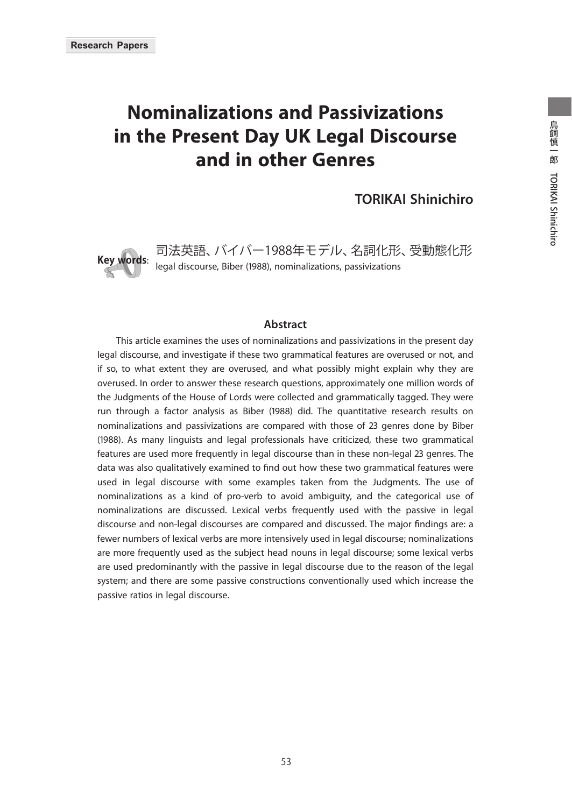# **Nominalizations and Passivizations in the Present Day UK Legal Discourse and in other Genres**

**TORIKAI Shinichiro**



**Key words**: 司法英語、バイバー1988年モデル、名詞化形、受動態化形 legal discourse, Biber (1988), nominalizations, passivizations

#### **Abstract**

This article examines the uses of nominalizations and passivizations in the present day legal discourse, and investigate if these two grammatical features are overused or not, and if so, to what extent they are overused, and what possibly might explain why they are overused. In order to answer these research questions, approximately one million words of the Judgments of the House of Lords were collected and grammatically tagged. They were run through a factor analysis as Biber (1988) did. The quantitative research results on nominalizations and passivizations are compared with those of 23 genres done by Biber (1988). As many linguists and legal professionals have criticized, these two grammatical features are used more frequently in legal discourse than in these non-legal 23 genres. The data was also qualitatively examined to find out how these two grammatical features were used in legal discourse with some examples taken from the Judgments. The use of nominalizations as a kind of pro-verb to avoid ambiguity, and the categorical use of nominalizations are discussed. Lexical verbs frequently used with the passive in legal discourse and non-legal discourses are compared and discussed. The major findings are: a fewer numbers of lexical verbs are more intensively used in legal discourse; nominalizations are more frequently used as the subject head nouns in legal discourse; some lexical verbs are used predominantly with the passive in legal discourse due to the reason of the legal system; and there are some passive constructions conventionally used which increase the passive ratios in legal discourse.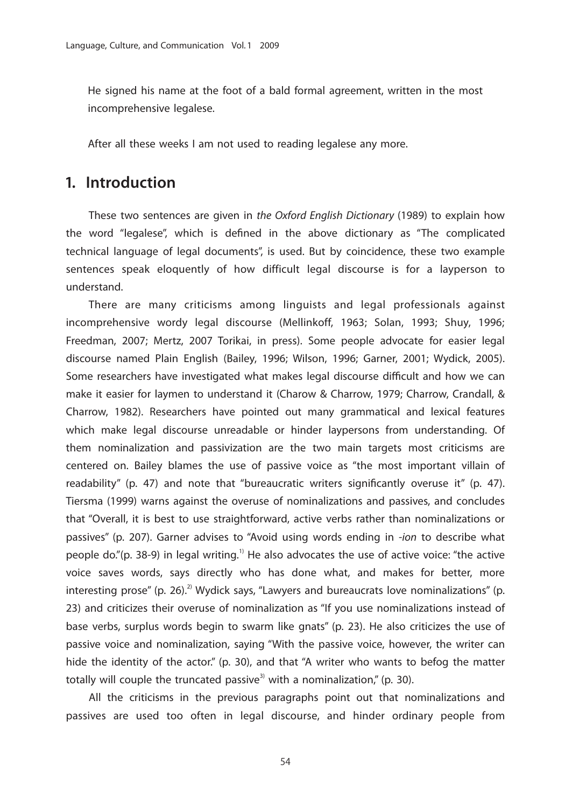He signed his name at the foot of a bald formal agreement, written in the most incomprehensive legalese.

After all these weeks I am not used to reading legalese any more.

### **1. Introduction**

These two sentences are given in *the Oxford English Dictionary* (1989) to explain how the word "legalese", which is defined in the above dictionary as "The complicated technical language of legal documents", is used. But by coincidence, these two example sentences speak eloquently of how difficult legal discourse is for a layperson to understand.

There are many criticisms among linguists and legal professionals against incomprehensive wordy legal discourse (Mellinkoff, 1963; Solan, 1993; Shuy, 1996; Freedman, 2007; Mertz, 2007 Torikai, in press). Some people advocate for easier legal discourse named Plain English (Bailey, 1996; Wilson, 1996; Garner, 2001; Wydick, 2005). Some researchers have investigated what makes legal discourse difficult and how we can make it easier for laymen to understand it (Charow & Charrow, 1979; Charrow, Crandall, & Charrow, 1982). Researchers have pointed out many grammatical and lexical features which make legal discourse unreadable or hinder laypersons from understanding. Of them nominalization and passivization are the two main targets most criticisms are centered on. Bailey blames the use of passive voice as "the most important villain of readability" (p. 47) and note that "bureaucratic writers significantly overuse it" (p. 47). Tiersma (1999) warns against the overuse of nominalizations and passives, and concludes that "Overall, it is best to use straightforward, active verbs rather than nominalizations or passives" (p. 207). Garner advises to "Avoid using words ending in *-ion* to describe what people do."(p. 38-9) in legal writing.<sup>1)</sup> He also advocates the use of active voice: "the active voice saves words, says directly who has done what, and makes for better, more interesting prose" (p. 26).<sup>2)</sup> Wydick says, "Lawyers and bureaucrats love nominalizations" (p. 23) and criticizes their overuse of nominalization as "If you use nominalizations instead of base verbs, surplus words begin to swarm like gnats" (p. 23). He also criticizes the use of passive voice and nominalization, saying "With the passive voice, however, the writer can hide the identity of the actor." (p. 30), and that "A writer who wants to befog the matter totally will couple the truncated passive<sup>3)</sup> with a nominalization," (p. 30).

All the criticisms in the previous paragraphs point out that nominalizations and passives are used too often in legal discourse, and hinder ordinary people from

54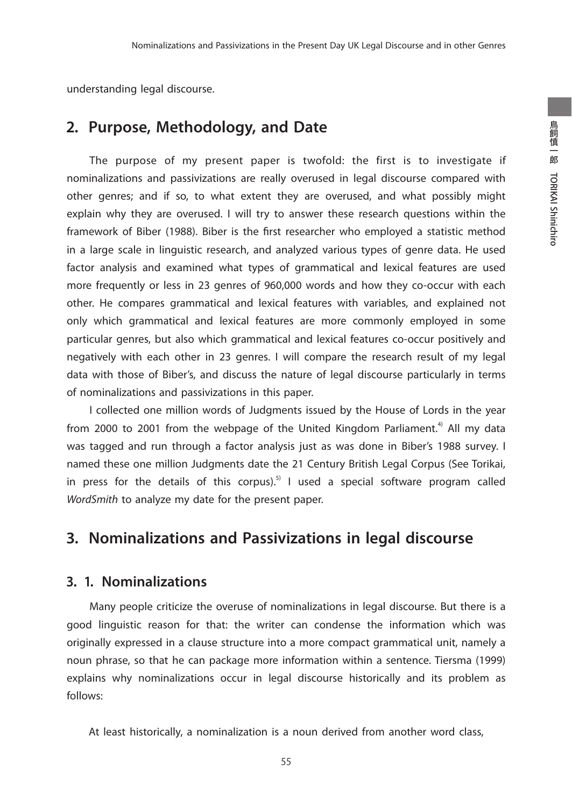understanding legal discourse.

## **2. Purpose, Methodology, and Date**

The purpose of my present paper is twofold: the first is to investigate if nominalizations and passivizations are really overused in legal discourse compared with other genres; and if so, to what extent they are overused, and what possibly might explain why they are overused. I will try to answer these research questions within the framework of Biber (1988). Biber is the first researcher who employed a statistic method in a large scale in linguistic research, and analyzed various types of genre data. He used factor analysis and examined what types of grammatical and lexical features are used more frequently or less in 23 genres of 960,000 words and how they co-occur with each other. He compares grammatical and lexical features with variables, and explained not only which grammatical and lexical features are more commonly employed in some particular genres, but also which grammatical and lexical features co-occur positively and negatively with each other in 23 genres. I will compare the research result of my legal data with those of Biber's, and discuss the nature of legal discourse particularly in terms of nominalizations and passivizations in this paper.

I collected one million words of Judgments issued by the House of Lords in the year from 2000 to 2001 from the webpage of the United Kingdom Parliament.<sup>4)</sup> All my data was tagged and run through a factor analysis just as was done in Biber's 1988 survey. I named these one million Judgments date the 21 Century British Legal Corpus (See Torikai, in press for the details of this corpus).<sup>5)</sup> I used a special software program called *WordSmith* to analyze my date for the present paper.

# **3. Nominalizations and Passivizations in legal discourse**

### **3. 1. Nominalizations**

Many people criticize the overuse of nominalizations in legal discourse. But there is a good linguistic reason for that: the writer can condense the information which was originally expressed in a clause structure into a more compact grammatical unit, namely a noun phrase, so that he can package more information within a sentence. Tiersma (1999) explains why nominalizations occur in legal discourse historically and its problem as follows:

At least historically, a nominalization is a noun derived from another word class,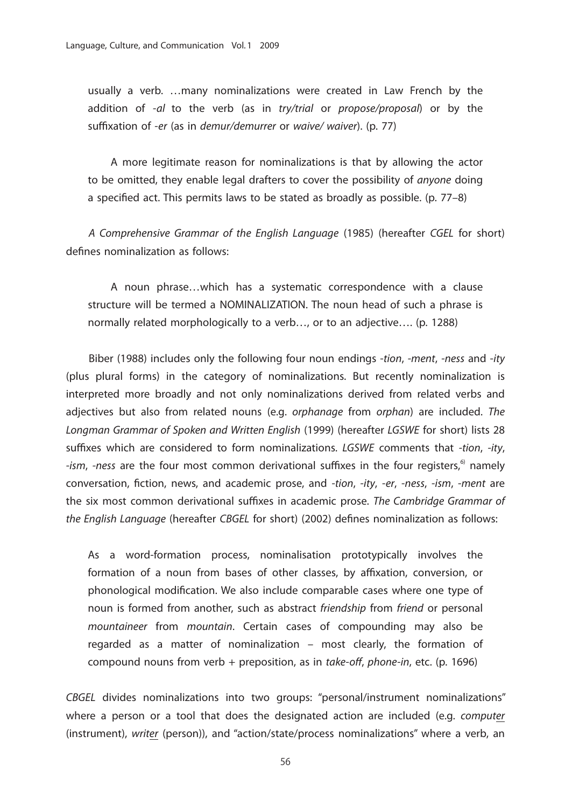usually a verb. …many nominalizations were created in Law French by the addition of *-al* to the verb (as in *try/trial* or *propose/proposal*) or by the suffixation of *-er* (as in *demur/demurrer* or *waive/ waiver*). (p. 77)

A more legitimate reason for nominalizations is that by allowing the actor to be omitted, they enable legal drafters to cover the possibility of *anyone* doing a specified act. This permits laws to be stated as broadly as possible. (p. 77–8)

*A Comprehensive Grammar of the English Language* (1985) (hereafter *CGEL* for short) defines nominalization as follows:

A noun phrase…which has a systematic correspondence with a clause structure will be termed a NOMINALIZATION. The noun head of such a phrase is normally related morphologically to a verb…, or to an adjective…. (p. 1288)

Biber (1988) includes only the following four noun endings -*tion*, *-ment*, *-ness* and -*ity* (plus plural forms) in the category of nominalizations. But recently nominalization is interpreted more broadly and not only nominalizations derived from related verbs and adjectives but also from related nouns (e.g. *orphanage* from *orphan*) are included. *The Longman Grammar of Spoken and Written English* (1999) (hereafter *LGSWE* for short) lists 28 suffixes which are considered to form nominalizations. *LGSWE* comments that *-tion*, *-ity*, *-ism*, *-ness* are the four most common derivational suffixes in the four registers,<sup>6</sup> namely conversation, fiction, news, and academic prose, and *-tion*, *-ity*, *-er*, *-ness*, *-ism*, -*ment* are the six most common derivational suffixes in academic prose. *The Cambridge Grammar of the English Language* (hereafter *CBGEL* for short) (2002) defines nominalization as follows:

As a word-formation process, nominalisation prototypically involves the formation of a noun from bases of other classes, by affixation, conversion, or phonological modification. We also include comparable cases where one type of noun is formed from another, such as abstract *friendship* from *friend* or personal *mountaineer* from *mountain*. Certain cases of compounding may also be regarded as a matter of nominalization – most clearly, the formation of compound nouns from verb + preposition, as in *take-off*, *phone-in*, etc. (p. 1696)

*CBGEL* divides nominalizations into two groups: "personal/instrument nominalizations" where a person or a tool that does the designated action are included (e.g. *computer*  (instrument), *writer* (person)), and "action/state/process nominalizations" where a verb, an

56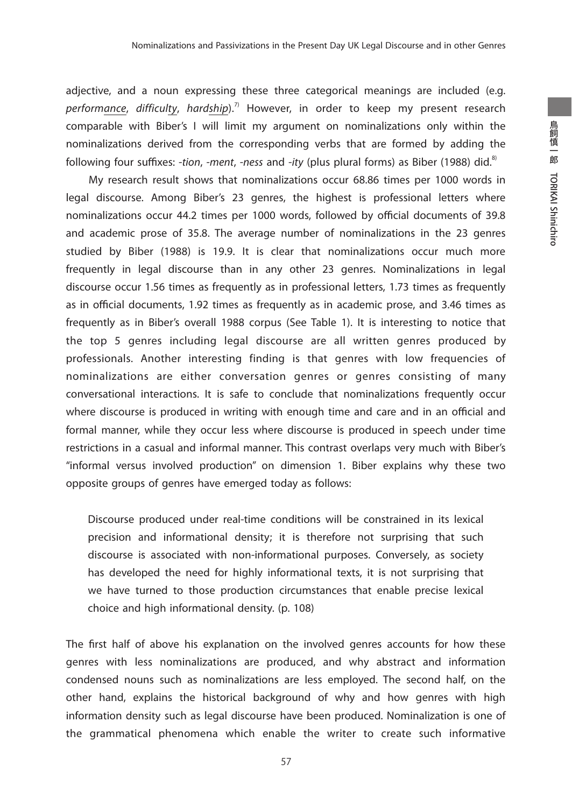adjective, and a noun expressing these three categorical meanings are included (e.g. *performance*, *difficulty*, *hardship*).7) However, in order to keep my present research comparable with Biber's I will limit my argument on nominalizations only within the nominalizations derived from the corresponding verbs that are formed by adding the following four suffixes: *-tion, -ment, -ness* and *-ity* (plus plural forms) as Biber (1988) did.<sup>8)</sup>

My research result shows that nominalizations occur 68.86 times per 1000 words in legal discourse. Among Biber's 23 genres, the highest is professional letters where nominalizations occur 44.2 times per 1000 words, followed by official documents of 39.8 and academic prose of 35.8. The average number of nominalizations in the 23 genres studied by Biber (1988) is 19.9. It is clear that nominalizations occur much more frequently in legal discourse than in any other 23 genres. Nominalizations in legal discourse occur 1.56 times as frequently as in professional letters, 1.73 times as frequently as in official documents, 1.92 times as frequently as in academic prose, and 3.46 times as frequently as in Biber's overall 1988 corpus (See Table 1). It is interesting to notice that the top 5 genres including legal discourse are all written genres produced by professionals. Another interesting finding is that genres with low frequencies of nominalizations are either conversation genres or genres consisting of many conversational interactions. It is safe to conclude that nominalizations frequently occur where discourse is produced in writing with enough time and care and in an official and formal manner, while they occur less where discourse is produced in speech under time restrictions in a casual and informal manner. This contrast overlaps very much with Biber's "informal versus involved production" on dimension 1. Biber explains why these two opposite groups of genres have emerged today as follows:

Discourse produced under real-time conditions will be constrained in its lexical precision and informational density; it is therefore not surprising that such discourse is associated with non-informational purposes. Conversely, as society has developed the need for highly informational texts, it is not surprising that we have turned to those production circumstances that enable precise lexical choice and high informational density. (p. 108)

The first half of above his explanation on the involved genres accounts for how these genres with less nominalizations are produced, and why abstract and information condensed nouns such as nominalizations are less employed. The second half, on the other hand, explains the historical background of why and how genres with high information density such as legal discourse have been produced. Nominalization is one of the grammatical phenomena which enable the writer to create such informative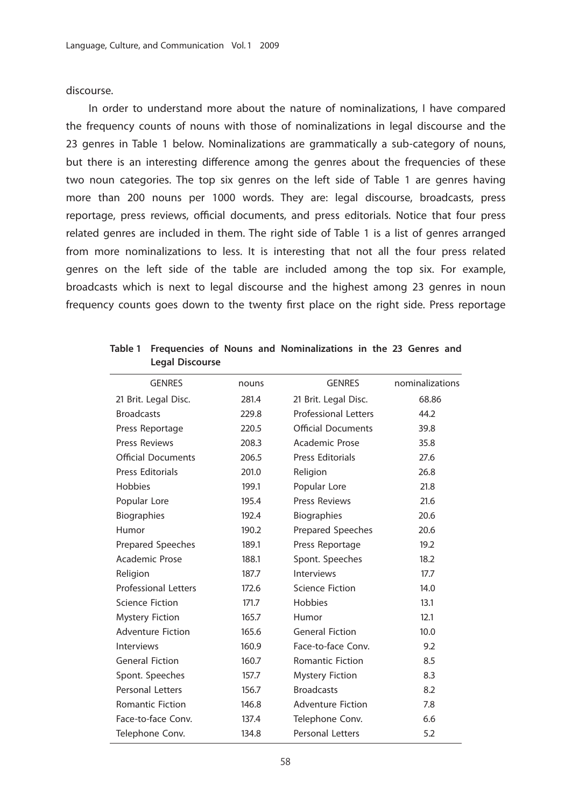discourse.

In order to understand more about the nature of nominalizations, I have compared the frequency counts of nouns with those of nominalizations in legal discourse and the 23 genres in Table 1 below. Nominalizations are grammatically a sub-category of nouns, but there is an interesting difference among the genres about the frequencies of these two noun categories. The top six genres on the left side of Table 1 are genres having more than 200 nouns per 1000 words. They are: legal discourse, broadcasts, press reportage, press reviews, official documents, and press editorials. Notice that four press related genres are included in them. The right side of Table 1 is a list of genres arranged from more nominalizations to less. It is interesting that not all the four press related genres on the left side of the table are included among the top six. For example, broadcasts which is next to legal discourse and the highest among 23 genres in noun frequency counts goes down to the twenty first place on the right side. Press reportage

| <b>GENRES</b>               | nouns | <b>GENRES</b>               | nominalizations |
|-----------------------------|-------|-----------------------------|-----------------|
| 21 Brit. Legal Disc.        | 281.4 | 21 Brit. Legal Disc.        | 68.86           |
| <b>Broadcasts</b>           | 229.8 | <b>Professional Letters</b> | 44.2            |
| Press Reportage             | 220.5 | <b>Official Documents</b>   | 39.8            |
| Press Reviews               | 208.3 | Academic Prose              | 35.8            |
| <b>Official Documents</b>   | 206.5 | Press Editorials            | 27.6            |
| Press Editorials            | 201.0 | Religion                    | 26.8            |
| Hobbies                     | 199.1 | Popular Lore                | 21.8            |
| Popular Lore                | 195.4 | <b>Press Reviews</b>        | 21.6            |
| <b>Biographies</b>          | 192.4 | <b>Biographies</b>          | 20.6            |
| Humor                       | 190.2 | Prepared Speeches           | 20.6            |
| Prepared Speeches           | 189.1 | Press Reportage             | 19.2            |
| Academic Prose              | 188.1 | Spont. Speeches             | 18.2            |
| Religion                    | 187.7 | Interviews                  | 17.7            |
| <b>Professional Letters</b> | 172.6 | <b>Science Fiction</b>      | 14.0            |
| <b>Science Fiction</b>      | 171.7 | <b>Hobbies</b>              | 13.1            |
| <b>Mystery Fiction</b>      | 165.7 | Humor                       | 12.1            |
| <b>Adventure Fiction</b>    | 165.6 | <b>General Fiction</b>      | 10.0            |
| <b>Interviews</b>           | 160.9 | Face-to-face Conv.          | 9.2             |
| <b>General Fiction</b>      | 160.7 | <b>Romantic Fiction</b>     | 8.5             |
| Spont. Speeches             | 157.7 | <b>Mystery Fiction</b>      | 8.3             |
| <b>Personal Letters</b>     | 156.7 | <b>Broadcasts</b>           | 8.2             |
| <b>Romantic Fiction</b>     | 146.8 | <b>Adventure Fiction</b>    | 7.8             |
| Face-to-face Conv.          | 137.4 | Telephone Conv.             | 6.6             |
| Telephone Conv.             | 134.8 | <b>Personal Letters</b>     | 5.2             |
|                             |       |                             |                 |

**Table 1 Frequencies of Nouns and Nominalizations in the 23 Genres and Legal Discourse**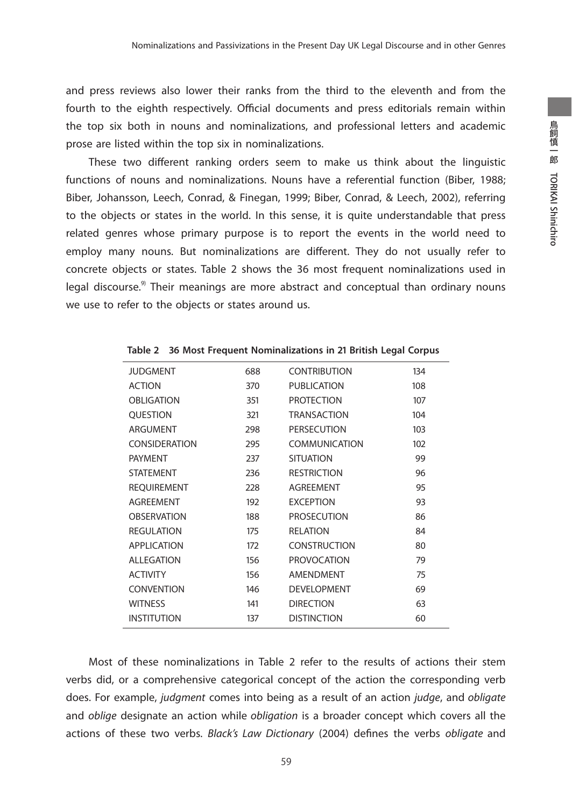and press reviews also lower their ranks from the third to the eleventh and from the fourth to the eighth respectively. Official documents and press editorials remain within the top six both in nouns and nominalizations, and professional letters and academic prose are listed within the top six in nominalizations.

These two different ranking orders seem to make us think about the linguistic functions of nouns and nominalizations. Nouns have a referential function (Biber, 1988; Biber, Johansson, Leech, Conrad, & Finegan, 1999; Biber, Conrad, & Leech, 2002), referring to the objects or states in the world. In this sense, it is quite understandable that press related genres whose primary purpose is to report the events in the world need to employ many nouns. But nominalizations are different. They do not usually refer to concrete objects or states. Table 2 shows the 36 most frequent nominalizations used in legal discourse. $9$  Their meanings are more abstract and conceptual than ordinary nouns we use to refer to the objects or states around us.

| <b>JUDGMENT</b>      | 688 | <b>CONTRIBUTION</b>  | 134 |
|----------------------|-----|----------------------|-----|
| <b>ACTION</b>        | 370 | <b>PUBLICATION</b>   | 108 |
| <b>OBLIGATION</b>    | 351 | <b>PROTECTION</b>    | 107 |
| <b>OUESTION</b>      | 321 | <b>TRANSACTION</b>   | 104 |
| ARGUMENT             | 298 | <b>PERSECUTION</b>   | 103 |
| <b>CONSIDERATION</b> | 295 | <b>COMMUNICATION</b> | 102 |
| <b>PAYMENT</b>       | 237 | <b>SITUATION</b>     | 99  |
| <b>STATEMENT</b>     | 236 | <b>RESTRICTION</b>   | 96  |
| <b>REQUIREMENT</b>   | 228 | <b>AGREEMENT</b>     | 95  |
| <b>AGREEMENT</b>     | 192 | <b>EXCEPTION</b>     | 93  |
| <b>OBSERVATION</b>   | 188 | <b>PROSECUTION</b>   | 86  |
| <b>REGULATION</b>    | 175 | <b>RELATION</b>      | 84  |
| <b>APPLICATION</b>   | 172 | <b>CONSTRUCTION</b>  | 80  |
| <b>ALLEGATION</b>    | 156 | <b>PROVOCATION</b>   | 79  |
| <b>ACTIVITY</b>      | 156 | AMENDMENT            | 75  |
| <b>CONVENTION</b>    | 146 | <b>DEVELOPMENT</b>   | 69  |
| <b>WITNESS</b>       | 141 | <b>DIRECTION</b>     | 63  |
| <b>INSTITUTION</b>   | 137 | <b>DISTINCTION</b>   | 60  |
|                      |     |                      |     |

**Table 2 36 Most Frequent Nominalizations in 21 British Legal Corpus**

Most of these nominalizations in Table 2 refer to the results of actions their stem verbs did, or a comprehensive categorical concept of the action the corresponding verb does. For example, *judgment* comes into being as a result of an action *judge*, and *obligate* and *oblige* designate an action while *obligation* is a broader concept which covers all the actions of these two verbs. *Black's Law Dictionary* (2004) defines the verbs *obligate* and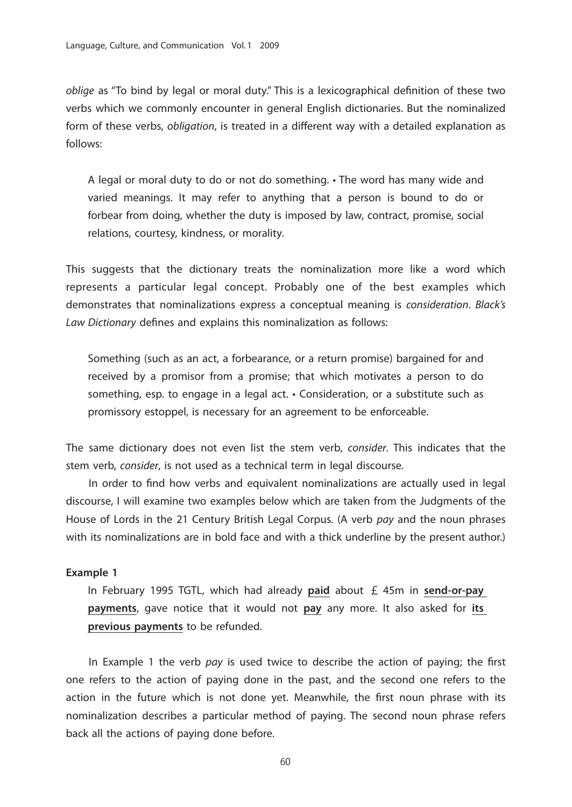*oblige* as "To bind by legal or moral duty." This is a lexicographical definition of these two verbs which we commonly encounter in general English dictionaries. But the nominalized form of these verbs, *obligation*, is treated in a different way with a detailed explanation as follows:

A legal or moral duty to do or not do something. • The word has many wide and varied meanings. It may refer to anything that a person is bound to do or forbear from doing, whether the duty is imposed by law, contract, promise, social relations, courtesy, kindness, or morality.

This suggests that the dictionary treats the nominalization more like a word which represents a particular legal concept. Probably one of the best examples which demonstrates that nominalizations express a conceptual meaning is *consideration*. *Black's Law Dictionary* defines and explains this nominalization as follows:

Something (such as an act, a forbearance, or a return promise) bargained for and received by a promisor from a promise; that which motivates a person to do something, esp. to engage in a legal act. • Consideration, or a substitute such as promissory estoppel, is necessary for an agreement to be enforceable.

The same dictionary does not even list the stem verb, *consider*. This indicates that the stem verb, *consider*, is not used as a technical term in legal discourse.

In order to find how verbs and equivalent nominalizations are actually used in legal discourse, I will examine two examples below which are taken from the Judgments of the House of Lords in the 21 Century British Legal Corpus. (A verb *pay* and the noun phrases with its nominalizations are in bold face and with a thick underline by the present author.)

#### **Example 1**

In February 1995 TGTL, which had already **paid** about £ 45m in **send-or-pay payments**, gave notice that it would not **pay** any more. It also asked for **its previous payments** to be refunded.

In Example 1 the verb *pay* is used twice to describe the action of paying; the first one refers to the action of paying done in the past, and the second one refers to the action in the future which is not done yet. Meanwhile, the first noun phrase with its nominalization describes a particular method of paying. The second noun phrase refers back all the actions of paying done before.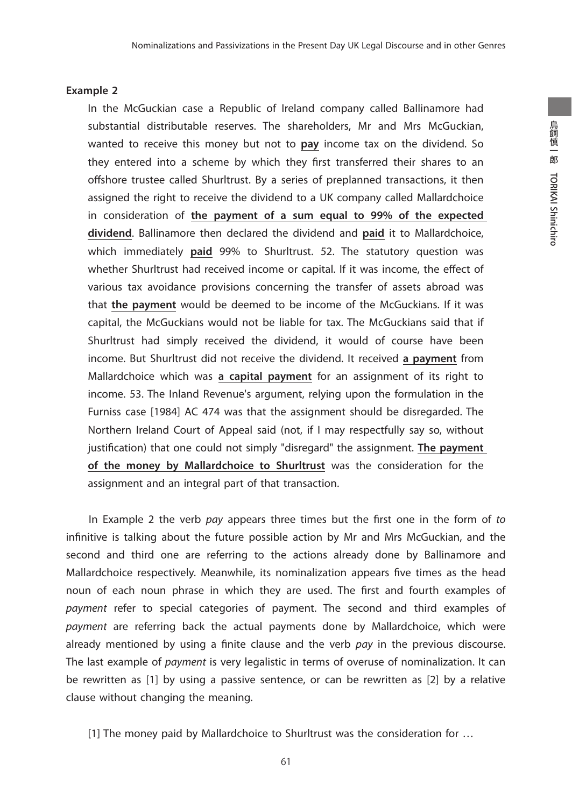#### **Example 2**

In the McGuckian case a Republic of Ireland company called Ballinamore had substantial distributable reserves. The shareholders, Mr and Mrs McGuckian, wanted to receive this money but not to **pay** income tax on the dividend. So they entered into a scheme by which they first transferred their shares to an offshore trustee called Shurltrust. By a series of preplanned transactions, it then assigned the right to receive the dividend to a UK company called Mallardchoice in consideration of **the payment of a sum equal to 99% of the expected dividend**. Ballinamore then declared the dividend and **paid** it to Mallardchoice, which immediately **paid** 99% to Shurltrust. 52. The statutory question was whether Shurltrust had received income or capital. If it was income, the effect of various tax avoidance provisions concerning the transfer of assets abroad was that **the payment** would be deemed to be income of the McGuckians. If it was capital, the McGuckians would not be liable for tax. The McGuckians said that if Shurltrust had simply received the dividend, it would of course have been income. But Shurltrust did not receive the dividend. It received **a payment** from Mallardchoice which was **a capital payment** for an assignment of its right to income. 53. The Inland Revenue's argument, relying upon the formulation in the Furniss case [1984] AC 474 was that the assignment should be disregarded. The Northern Ireland Court of Appeal said (not, if I may respectfully say so, without justification) that one could not simply "disregard" the assignment. **The payment of the money by Mallardchoice to Shurltrust** was the consideration for the assignment and an integral part of that transaction.

In Example 2 the verb *pay* appears three times but the first one in the form of *to* infinitive is talking about the future possible action by Mr and Mrs McGuckian, and the second and third one are referring to the actions already done by Ballinamore and Mallardchoice respectively. Meanwhile, its nominalization appears five times as the head noun of each noun phrase in which they are used. The first and fourth examples of *payment* refer to special categories of payment. The second and third examples of *payment* are referring back the actual payments done by Mallardchoice, which were already mentioned by using a finite clause and the verb *pay* in the previous discourse. The last example of *payment* is very legalistic in terms of overuse of nominalization. It can be rewritten as [1] by using a passive sentence, or can be rewritten as [2] by a relative clause without changing the meaning.

[1] The money paid by Mallardchoice to Shurltrust was the consideration for …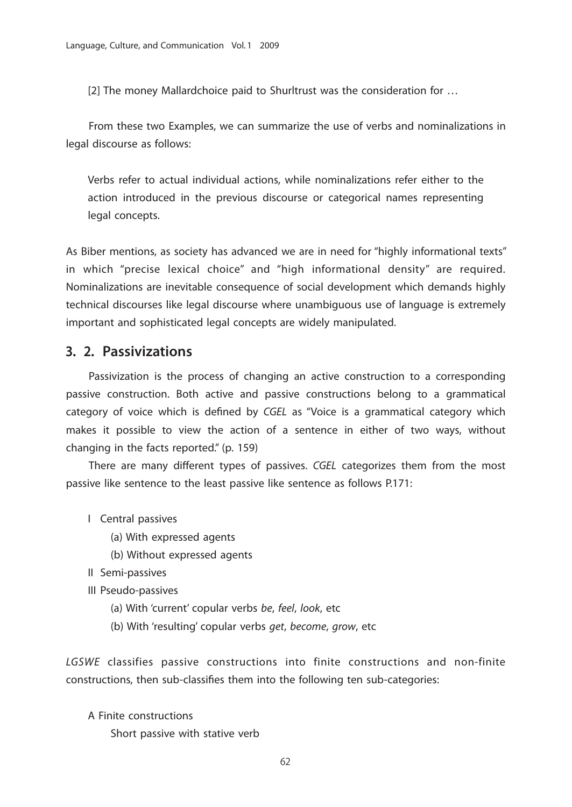[2] The money Mallardchoice paid to Shurltrust was the consideration for …

From these two Examples, we can summarize the use of verbs and nominalizations in legal discourse as follows:

Verbs refer to actual individual actions, while nominalizations refer either to the action introduced in the previous discourse or categorical names representing legal concepts.

As Biber mentions, as society has advanced we are in need for "highly informational texts" in which "precise lexical choice" and "high informational density" are required. Nominalizations are inevitable consequence of social development which demands highly technical discourses like legal discourse where unambiguous use of language is extremely important and sophisticated legal concepts are widely manipulated.

### **3. 2. Passivizations**

Passivization is the process of changing an active construction to a corresponding passive construction. Both active and passive constructions belong to a grammatical category of voice which is defined by *CGEL* as "Voice is a grammatical category which makes it possible to view the action of a sentence in either of two ways, without changing in the facts reported." (p. 159)

There are many different types of passives. *CGEL* categorizes them from the most passive like sentence to the least passive like sentence as follows P.171:

- I Central passives
	- (a) With expressed agents
	- (b) Without expressed agents
- II Semi-passives

III Pseudo-passives

- (a) With 'current' copular verbs *be*, *feel*, *look*, etc
- (b) With 'resulting' copular verbs *get*, *become*, *grow*, etc

*LGSWE* classifies passive constructions into finite constructions and non-finite constructions, then sub-classifies them into the following ten sub-categories:

A Finite constructions Short passive with stative verb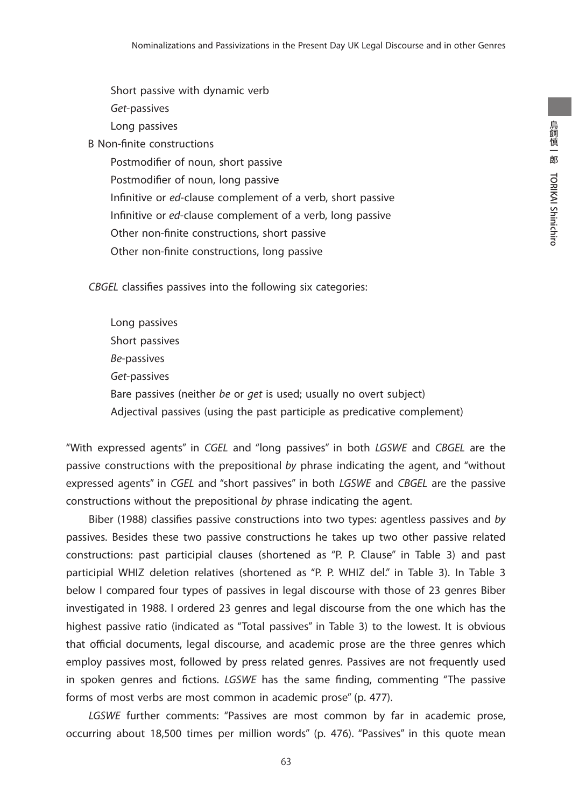Short passive with dynamic verb *Get*-passives

Long passives

B Non-finite constructions

Postmodifier of noun, short passive Postmodifier of noun, long passive Infinitive or *ed*-clause complement of a verb, short passive Infinitive or *ed*-clause complement of a verb, long passive Other non-finite constructions, short passive Other non-finite constructions, long passive

*CBGEL* classifies passives into the following six categories:

Long passives Short passives *Be*-passives *Get*-passives Bare passives (neither *be* or *get* is used; usually no overt subject) Adjectival passives (using the past participle as predicative complement)

"With expressed agents" in *CGEL* and "long passives" in both *LGSWE* and *CBGEL* are the passive constructions with the prepositional *by* phrase indicating the agent, and "without expressed agents" in *CGEL* and "short passives" in both *LGSWE* and *CBGEL* are the passive constructions without the prepositional *by* phrase indicating the agent.

Biber (1988) classifies passive constructions into two types: agentless passives and *by*  passives. Besides these two passive constructions he takes up two other passive related constructions: past participial clauses (shortened as "P. P. Clause" in Table 3) and past participial WHIZ deletion relatives (shortened as "P. P. WHIZ del." in Table 3). In Table 3 below I compared four types of passives in legal discourse with those of 23 genres Biber investigated in 1988. I ordered 23 genres and legal discourse from the one which has the highest passive ratio (indicated as "Total passives" in Table 3) to the lowest. It is obvious that official documents, legal discourse, and academic prose are the three genres which employ passives most, followed by press related genres. Passives are not frequently used in spoken genres and fictions. *LGSWE* has the same finding, commenting "The passive forms of most verbs are most common in academic prose" (p. 477).

*LGSWE* further comments: "Passives are most common by far in academic prose, occurring about 18,500 times per million words" (p. 476). "Passives" in this quote mean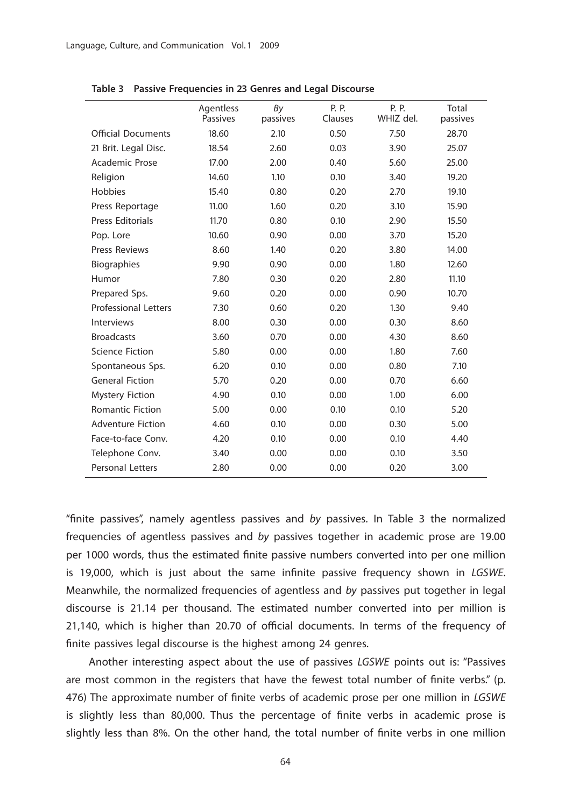|                             | Agentless<br>Passives | By<br>passives | P. P.<br>Clauses | P. P.<br>WHIZ del. | Total<br>passives |
|-----------------------------|-----------------------|----------------|------------------|--------------------|-------------------|
| <b>Official Documents</b>   | 18.60                 | 2.10           | 0.50             | 7.50               | 28.70             |
| 21 Brit. Legal Disc.        | 18.54                 | 2.60           | 0.03             | 3.90               | 25.07             |
| <b>Academic Prose</b>       | 17.00                 | 2.00           | 0.40             | 5.60               | 25.00             |
| Religion                    | 14.60                 | 1.10           | 0.10             | 3.40               | 19.20             |
| Hobbies                     | 15.40                 | 0.80           | 0.20             | 2.70               | 19.10             |
| Press Reportage             | 11.00                 | 1.60           | 0.20             | 3.10               | 15.90             |
| <b>Press Editorials</b>     | 11.70                 | 0.80           | 0.10             | 2.90               | 15.50             |
| Pop. Lore                   | 10.60                 | 0.90           | 0.00             | 3.70               | 15.20             |
| <b>Press Reviews</b>        | 8.60                  | 1.40           | 0.20             | 3.80               | 14.00             |
| <b>Biographies</b>          | 9.90                  | 0.90           | 0.00             | 1.80               | 12.60             |
| Humor                       | 7.80                  | 0.30           | 0.20             | 2.80               | 11.10             |
| Prepared Sps.               | 9.60                  | 0.20           | 0.00             | 0.90               | 10.70             |
| <b>Professional Letters</b> | 7.30                  | 0.60           | 0.20             | 1.30               | 9.40              |
| <b>Interviews</b>           | 8.00                  | 0.30           | 0.00             | 0.30               | 8.60              |
| <b>Broadcasts</b>           | 3.60                  | 0.70           | 0.00             | 4.30               | 8.60              |
| <b>Science Fiction</b>      | 5.80                  | 0.00           | 0.00             | 1.80               | 7.60              |
| Spontaneous Sps.            | 6.20                  | 0.10           | 0.00             | 0.80               | 7.10              |
| <b>General Fiction</b>      | 5.70                  | 0.20           | 0.00             | 0.70               | 6.60              |
| <b>Mystery Fiction</b>      | 4.90                  | 0.10           | 0.00             | 1.00               | 6.00              |
| <b>Romantic Fiction</b>     | 5.00                  | 0.00           | 0.10             | 0.10               | 5.20              |
| <b>Adventure Fiction</b>    | 4.60                  | 0.10           | 0.00             | 0.30               | 5.00              |
| Face-to-face Conv.          | 4.20                  | 0.10           | 0.00             | 0.10               | 4.40              |
| Telephone Conv.             | 3.40                  | 0.00           | 0.00             | 0.10               | 3.50              |
| <b>Personal Letters</b>     | 2.80                  | 0.00           | 0.00             | 0.20               | 3.00              |

**Table 3 Passive Frequencies in 23 Genres and Legal Discourse**

"finite passives", namely agentless passives and *by* passives. In Table 3 the normalized frequencies of agentless passives and *by* passives together in academic prose are 19.00 per 1000 words, thus the estimated finite passive numbers converted into per one million is 19,000, which is just about the same infinite passive frequency shown in *LGSWE*. Meanwhile, the normalized frequencies of agentless and *by* passives put together in legal discourse is 21.14 per thousand. The estimated number converted into per million is 21,140, which is higher than 20.70 of official documents. In terms of the frequency of finite passives legal discourse is the highest among 24 genres.

Another interesting aspect about the use of passives *LGSWE* points out is: "Passives are most common in the registers that have the fewest total number of finite verbs." (p. 476) The approximate number of finite verbs of academic prose per one million in *LGSWE* is slightly less than 80,000. Thus the percentage of finite verbs in academic prose is slightly less than 8%. On the other hand, the total number of finite verbs in one million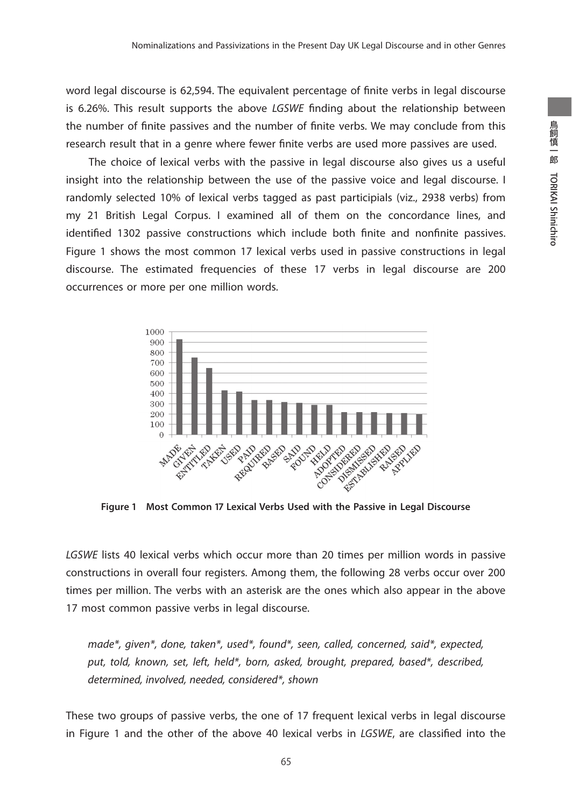word legal discourse is 62,594. The equivalent percentage of finite verbs in legal discourse is 6.26%. This result supports the above *LGSWE* finding about the relationship between the number of finite passives and the number of finite verbs. We may conclude from this research result that in a genre where fewer finite verbs are used more passives are used.

The choice of lexical verbs with the passive in legal discourse also gives us a useful insight into the relationship between the use of the passive voice and legal discourse. I randomly selected 10% of lexical verbs tagged as past participials (viz., 2938 verbs) from my 21 British Legal Corpus. I examined all of them on the concordance lines, and identified 1302 passive constructions which include both finite and nonfinite passives. Figure 1 shows the most common 17 lexical verbs used in passive constructions in legal discourse. The estimated frequencies of these 17 verbs in legal discourse are 200 occurrences or more per one million words.



**Figure 1 Most Common 17 Lexical Verbs Used with the Passive in Legal Discourse**

*LGSWE* lists 40 lexical verbs which occur more than 20 times per million words in passive constructions in overall four registers. Among them, the following 28 verbs occur over 200 times per million. The verbs with an asterisk are the ones which also appear in the above 17 most common passive verbs in legal discourse.

*made\*, given\*, done, taken\*, used\*, found\*, seen, called, concerned, said\*, expected, put, told, known, set, left, held\*, born, asked, brought, prepared, based\*, described, determined, involved, needed, considered\*, shown*

These two groups of passive verbs, the one of 17 frequent lexical verbs in legal discourse in Figure 1 and the other of the above 40 lexical verbs in *LGSWE*, are classified into the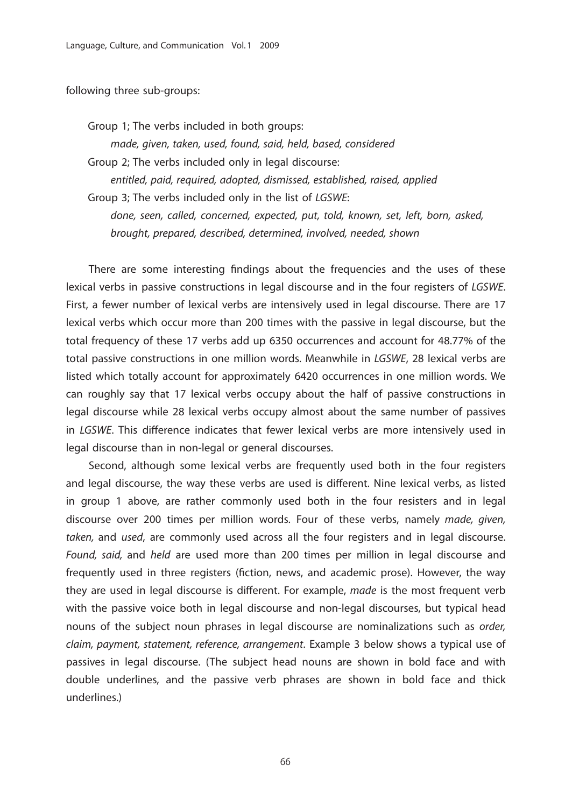following three sub-groups:

Group 1; The verbs included in both groups:

*made, given, taken, used, found, said, held, based, considered* Group 2; The verbs included only in legal discourse:

*entitled, paid, required, adopted, dismissed, established, raised, applied* Group 3; The verbs included only in the list of *LGSWE*: *done, seen, called, concerned, expected, put, told, known, set, left, born, asked,* 

*brought, prepared, described, determined, involved, needed, shown*

There are some interesting findings about the frequencies and the uses of these lexical verbs in passive constructions in legal discourse and in the four registers of *LGSWE*. First, a fewer number of lexical verbs are intensively used in legal discourse. There are 17 lexical verbs which occur more than 200 times with the passive in legal discourse, but the total frequency of these 17 verbs add up 6350 occurrences and account for 48.77% of the total passive constructions in one million words. Meanwhile in *LGSWE*, 28 lexical verbs are listed which totally account for approximately 6420 occurrences in one million words. We can roughly say that 17 lexical verbs occupy about the half of passive constructions in legal discourse while 28 lexical verbs occupy almost about the same number of passives in *LGSWE*. This difference indicates that fewer lexical verbs are more intensively used in legal discourse than in non-legal or general discourses.

Second, although some lexical verbs are frequently used both in the four registers and legal discourse, the way these verbs are used is different. Nine lexical verbs, as listed in group 1 above, are rather commonly used both in the four resisters and in legal discourse over 200 times per million words. Four of these verbs, namely *made, given, taken,* and *used*, are commonly used across all the four registers and in legal discourse. *Found, said,* and *held* are used more than 200 times per million in legal discourse and frequently used in three registers (fiction, news, and academic prose). However, the way they are used in legal discourse is different. For example, *made* is the most frequent verb with the passive voice both in legal discourse and non-legal discourses, but typical head nouns of the subject noun phrases in legal discourse are nominalizations such as *order, claim, payment, statement, reference, arrangement*. Example 3 below shows a typical use of passives in legal discourse. (The subject head nouns are shown in bold face and with double underlines, and the passive verb phrases are shown in bold face and thick underlines.)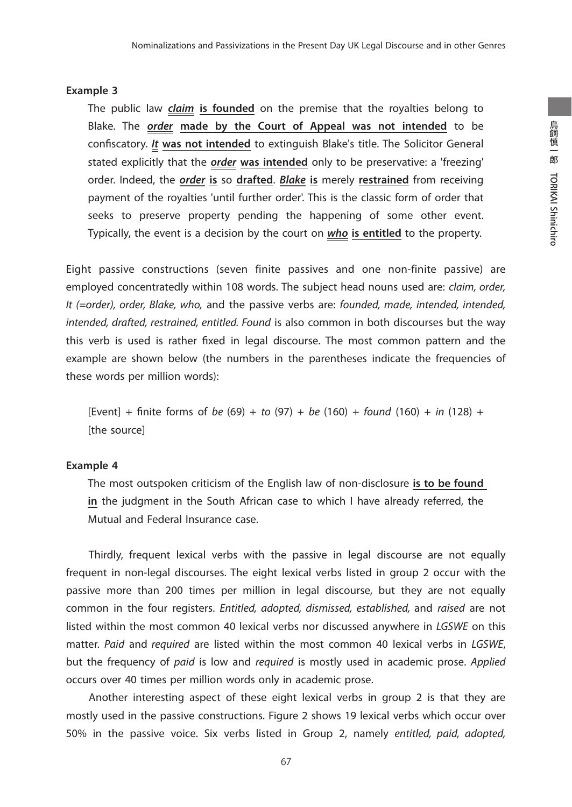#### **Example 3**

The public law *claim* **is founded** on the premise that the royalties belong to Blake. The *order* **made by the Court of Appeal was not intended** to be confiscatory. *It* **was not intended** to extinguish Blake's title. The Solicitor General stated explicitly that the *order* **was intended** only to be preservative: a 'freezing' order. Indeed, the *order* **is** so **drafted**. *Blake* **is** merely **restrained** from receiving payment of the royalties 'until further order'. This is the classic form of order that seeks to preserve property pending the happening of some other event. Typically, the event is a decision by the court on *who* **is entitled** to the property.

Eight passive constructions (seven finite passives and one non-finite passive) are employed concentratedly within 108 words. The subject head nouns used are: *claim, order, It (=order), order, Blake, who,* and the passive verbs are: *founded, made, intended, intended, intended, drafted, restrained, entitled. Found* is also common in both discourses but the way this verb is used is rather fixed in legal discourse. The most common pattern and the example are shown below (the numbers in the parentheses indicate the frequencies of these words per million words):

[Event] + finite forms of *be* (69) + *to* (97) + *be* (160) + *found* (160) + *in* (128) + [the source]

#### **Example 4**

The most outspoken criticism of the English law of non-disclosure **is to be found in** the judgment in the South African case to which I have already referred, the Mutual and Federal Insurance case.

Thirdly, frequent lexical verbs with the passive in legal discourse are not equally frequent in non-legal discourses. The eight lexical verbs listed in group 2 occur with the passive more than 200 times per million in legal discourse, but they are not equally common in the four registers. *Entitled, adopted, dismissed, established,* and *raised* are not listed within the most common 40 lexical verbs nor discussed anywhere in *LGSWE* on this matter. *Paid* and *required* are listed within the most common 40 lexical verbs in *LGSWE*, but the frequency of *paid* is low and *required* is mostly used in academic prose. *Applied* occurs over 40 times per million words only in academic prose.

Another interesting aspect of these eight lexical verbs in group 2 is that they are mostly used in the passive constructions. Figure 2 shows 19 lexical verbs which occur over 50% in the passive voice. Six verbs listed in Group 2, namely *entitled, paid, adopted,*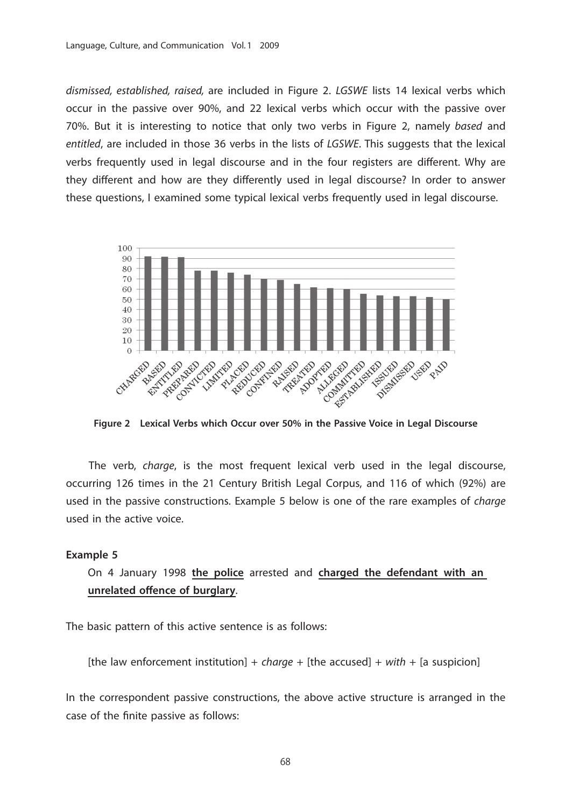*dismissed, established, raised,* are included in Figure 2. *LGSWE* lists 14 lexical verbs which occur in the passive over 90%, and 22 lexical verbs which occur with the passive over 70%. But it is interesting to notice that only two verbs in Figure 2, namely *based* and *entitled*, are included in those 36 verbs in the lists of *LGSWE*. This suggests that the lexical verbs frequently used in legal discourse and in the four registers are different. Why are they different and how are they differently used in legal discourse? In order to answer these questions, I examined some typical lexical verbs frequently used in legal discourse.



**Figure 2 Lexical Verbs which Occur over 50% in the Passive Voice in Legal Discourse**

The verb, *charge*, is the most frequent lexical verb used in the legal discourse, occurring 126 times in the 21 Century British Legal Corpus, and 116 of which (92%) are used in the passive constructions. Example 5 below is one of the rare examples of *charge* used in the active voice.

#### **Example 5**

On 4 January 1998 **the police** arrested and **charged the defendant with an unrelated offence of burglary**.

The basic pattern of this active sentence is as follows:

[the law enforcement institution] + *charge* + [the accused] + *with* + [a suspicion]

In the correspondent passive constructions, the above active structure is arranged in the case of the finite passive as follows: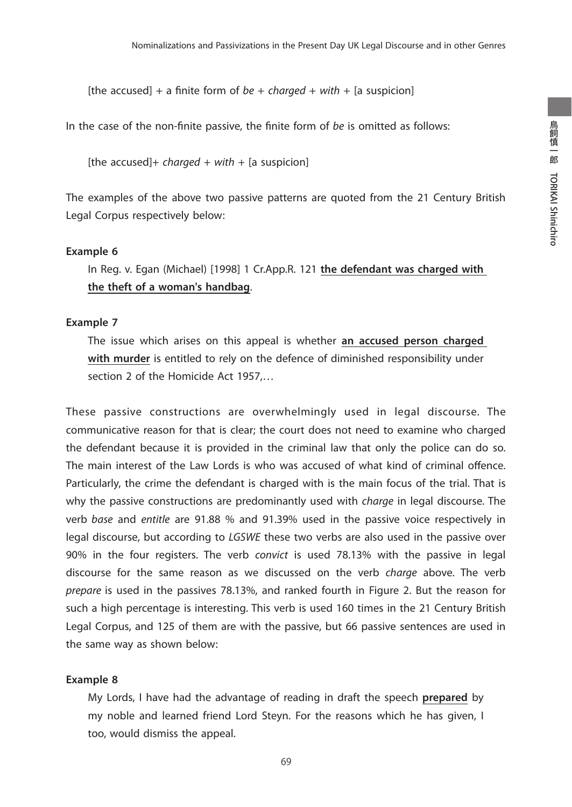[the accused] + a finite form of *be* + *charged* + *with* + [a suspicion]

In the case of the non-finite passive, the finite form of *be* is omitted as follows:

[the accused]+ *charged* + *with* + [a suspicion]

The examples of the above two passive patterns are quoted from the 21 Century British Legal Corpus respectively below:

#### **Example 6**

In Reg. v. Egan (Michael) [1998] 1 Cr.App.R. 121 **the defendant was charged with the theft of a woman's handbag**.

#### **Example 7**

The issue which arises on this appeal is whether **an accused person charged with murder** is entitled to rely on the defence of diminished responsibility under section 2 of the Homicide Act 1957,…

These passive constructions are overwhelmingly used in legal discourse. The communicative reason for that is clear; the court does not need to examine who charged the defendant because it is provided in the criminal law that only the police can do so. The main interest of the Law Lords is who was accused of what kind of criminal offence. Particularly, the crime the defendant is charged with is the main focus of the trial. That is why the passive constructions are predominantly used with *charge* in legal discourse. The verb *base* and *entitle* are 91.88 % and 91.39% used in the passive voice respectively in legal discourse, but according to *LGSWE* these two verbs are also used in the passive over 90% in the four registers. The verb *convict* is used 78.13% with the passive in legal discourse for the same reason as we discussed on the verb *charge* above. The verb *prepare* is used in the passives 78.13%, and ranked fourth in Figure 2. But the reason for such a high percentage is interesting. This verb is used 160 times in the 21 Century British Legal Corpus, and 125 of them are with the passive, but 66 passive sentences are used in the same way as shown below:

#### **Example 8**

My Lords, I have had the advantage of reading in draft the speech **prepared** by my noble and learned friend Lord Steyn. For the reasons which he has given, I too, would dismiss the appeal.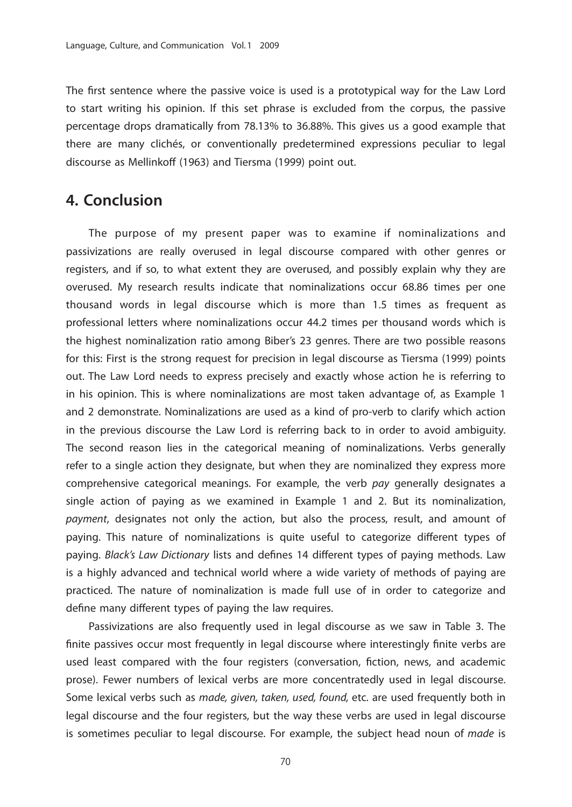The first sentence where the passive voice is used is a prototypical way for the Law Lord to start writing his opinion. If this set phrase is excluded from the corpus, the passive percentage drops dramatically from 78.13% to 36.88%. This gives us a good example that there are many clichés, or conventionally predetermined expressions peculiar to legal discourse as Mellinkoff (1963) and Tiersma (1999) point out.

### **4. Conclusion**

The purpose of my present paper was to examine if nominalizations and passivizations are really overused in legal discourse compared with other genres or registers, and if so, to what extent they are overused, and possibly explain why they are overused. My research results indicate that nominalizations occur 68.86 times per one thousand words in legal discourse which is more than 1.5 times as frequent as professional letters where nominalizations occur 44.2 times per thousand words which is the highest nominalization ratio among Biber's 23 genres. There are two possible reasons for this: First is the strong request for precision in legal discourse as Tiersma (1999) points out. The Law Lord needs to express precisely and exactly whose action he is referring to in his opinion. This is where nominalizations are most taken advantage of, as Example 1 and 2 demonstrate. Nominalizations are used as a kind of pro-verb to clarify which action in the previous discourse the Law Lord is referring back to in order to avoid ambiguity. The second reason lies in the categorical meaning of nominalizations. Verbs generally refer to a single action they designate, but when they are nominalized they express more comprehensive categorical meanings. For example, the verb *pay* generally designates a single action of paying as we examined in Example 1 and 2. But its nominalization, *payment*, designates not only the action, but also the process, result, and amount of paying. This nature of nominalizations is quite useful to categorize different types of paying. *Black's Law Dictionary* lists and defines 14 different types of paying methods. Law is a highly advanced and technical world where a wide variety of methods of paying are practiced. The nature of nominalization is made full use of in order to categorize and define many different types of paying the law requires.

Passivizations are also frequently used in legal discourse as we saw in Table 3. The finite passives occur most frequently in legal discourse where interestingly finite verbs are used least compared with the four registers (conversation, fiction, news, and academic prose). Fewer numbers of lexical verbs are more concentratedly used in legal discourse. Some lexical verbs such as *made, given, taken, used, found,* etc. are used frequently both in legal discourse and the four registers, but the way these verbs are used in legal discourse is sometimes peculiar to legal discourse. For example, the subject head noun of *made* is

70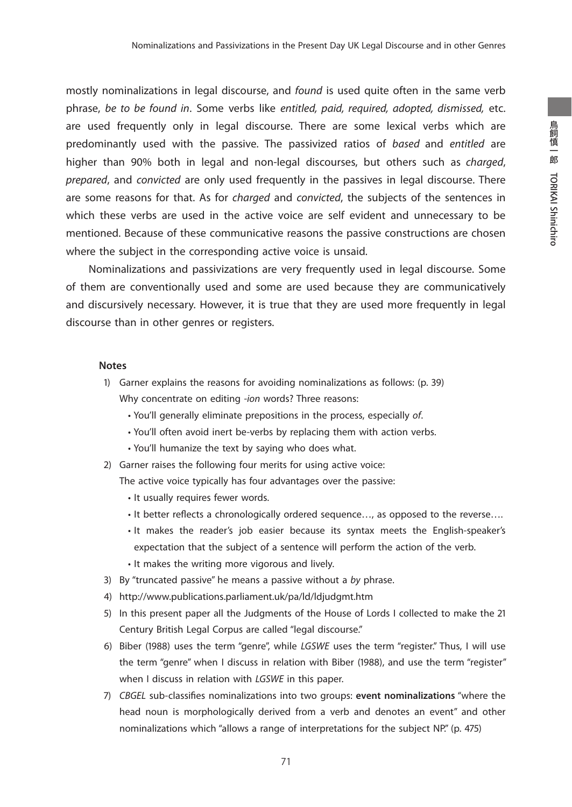mostly nominalizations in legal discourse, and *found* is used quite often in the same verb phrase, *be to be found in*. Some verbs like *entitled, paid, required, adopted, dismissed,* etc. are used frequently only in legal discourse. There are some lexical verbs which are predominantly used with the passive. The passivized ratios of *based* and *entitled* are higher than 90% both in legal and non-legal discourses, but others such as *charged*, *prepared*, and *convicted* are only used frequently in the passives in legal discourse. There are some reasons for that. As for *charged* and *convicted*, the subjects of the sentences in which these verbs are used in the active voice are self evident and unnecessary to be mentioned. Because of these communicative reasons the passive constructions are chosen where the subject in the corresponding active voice is unsaid.

Nominalizations and passivizations are very frequently used in legal discourse. Some of them are conventionally used and some are used because they are communicatively and discursively necessary. However, it is true that they are used more frequently in legal discourse than in other genres or registers.

#### **Notes**

- 1) Garner explains the reasons for avoiding nominalizations as follows: (p. 39) Why concentrate on editing *-ion* words? Three reasons:
	- You'll generally eliminate prepositions in the process, especially *of*.
	- You'll often avoid inert be-verbs by replacing them with action verbs.
	- You'll humanize the text by saying who does what.
- 2) Garner raises the following four merits for using active voice:

The active voice typically has four advantages over the passive:

- It usually requires fewer words.
- It better reflects a chronologically ordered sequence…, as opposed to the reverse….
- It makes the reader's job easier because its syntax meets the English-speaker's expectation that the subject of a sentence will perform the action of the verb.
- It makes the writing more vigorous and lively.
- 3) By "truncated passive" he means a passive without a *by* phrase.
- 4) http://www.publications.parliament.uk/pa/ld/ldjudgmt.htm
- 5) In this present paper all the Judgments of the House of Lords I collected to make the 21 Century British Legal Corpus are called "legal discourse."
- 6) Biber (1988) uses the term "genre", while *LGSWE* uses the term "register." Thus, I will use the term "genre" when I discuss in relation with Biber (1988), and use the term "register" when I discuss in relation with *LGSWE* in this paper.
- 7) *CBGEL* sub-classifies nominalizations into two groups: **event nominalizations** "where the head noun is morphologically derived from a verb and denotes an event" and other nominalizations which "allows a range of interpretations for the subject NP." (p. 475)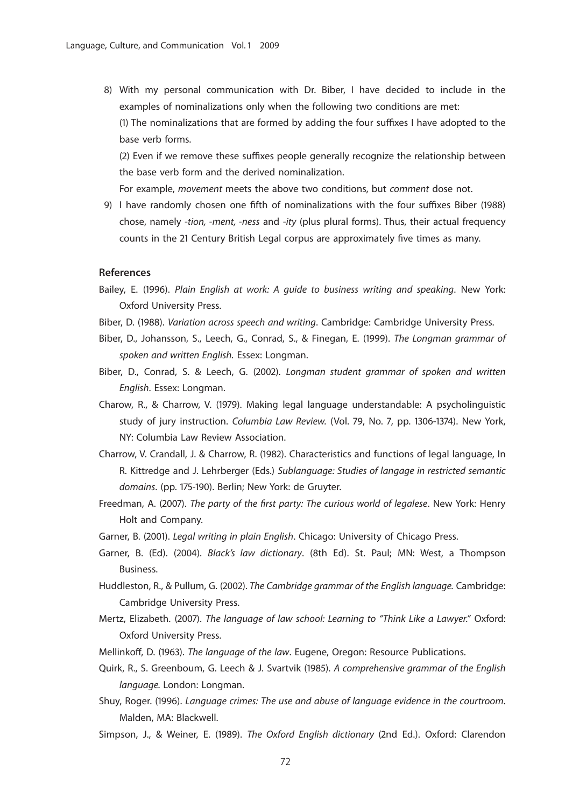8) With my personal communication with Dr. Biber, I have decided to include in the examples of nominalizations only when the following two conditions are met: (1) The nominalizations that are formed by adding the four suffixes I have adopted to the base verb forms.

(2) Even if we remove these suffixes people generally recognize the relationship between the base verb form and the derived nominalization.

For example, *movement* meets the above two conditions, but *comment* dose not.

9) I have randomly chosen one fifth of nominalizations with the four suffixes Biber (1988) chose, namely -*tion, -ment, -ness* and -*ity* (plus plural forms). Thus, their actual frequency counts in the 21 Century British Legal corpus are approximately five times as many.

#### **References**

- Bailey, E. (1996). *Plain English at work: A guide to business writing and speaking*. New York: Oxford University Press.
- Biber, D. (1988). *Variation across speech and writing*. Cambridge: Cambridge University Press.
- Biber, D., Johansson, S., Leech, G., Conrad, S., & Finegan, E. (1999). *The Longman grammar of spoken and written English.* Essex: Longman.
- Biber, D., Conrad, S. & Leech, G. (2002). *Longman student grammar of spoken and written English*. Essex: Longman.
- Charow, R., & Charrow, V. (1979). Making legal language understandable: A psycholinguistic study of jury instruction. *Columbia Law Review.* (Vol. 79, No. 7, pp. 1306-1374). New York, NY: Columbia Law Review Association.
- Charrow, V. Crandall, J. & Charrow, R. (1982). Characteristics and functions of legal language, In R. Kittredge and J. Lehrberger (Eds.) *Sublanguage: Studies of langage in restricted semantic domains*. (pp. 175-190). Berlin; New York: de Gruyter.
- Freedman, A. (2007). *The party of the first party: The curious world of legalese*. New York: Henry Holt and Company.
- Garner, B. (2001). *Legal writing in plain English*. Chicago: University of Chicago Press.
- Garner, B. (Ed). (2004). *Black's law dictionary*. (8th Ed). St. Paul; MN: West, a Thompson Business.
- Huddleston, R., & Pullum, G. (2002). *The Cambridge grammar of the English language.* Cambridge: Cambridge University Press.
- Mertz, Elizabeth. (2007). *The language of law school: Learning to "Think Like a Lawyer."* Oxford: Oxford University Press.
- Mellinkoff, D. (1963). *The language of the law*. Eugene, Oregon: Resource Publications.
- Quirk, R., S. Greenboum, G. Leech & J. Svartvik (1985). *A comprehensive grammar of the English language.* London: Longman.
- Shuy, Roger. (1996). *Language crimes: The use and abuse of language evidence in the courtroom*. Malden, MA: Blackwell.
- Simpson, J., & Weiner, E. (1989). *The Oxford English dictionary* (2nd Ed.). Oxford: Clarendon